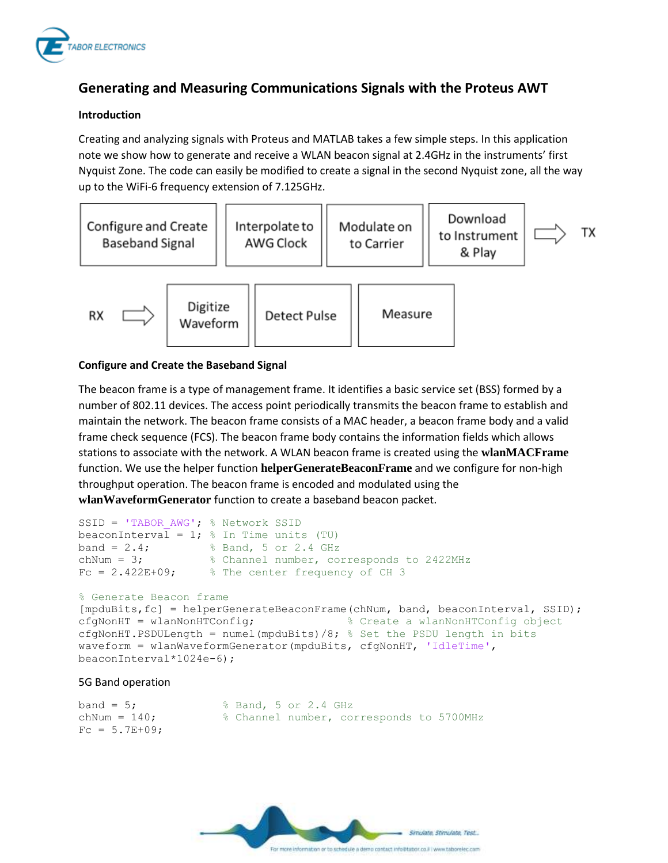

# **Generating and Measuring Communications Signals with the Proteus AWT**

## **Introduction**

Creating and analyzing signals with Proteus and MATLAB takes a few simple steps. In this application note we show how to generate and receive a WLAN beacon signal at 2.4GHz in the instruments' first Nyquist Zone. The code can easily be modified to create a signal in the second Nyquist zone, all the way up to the WiFi-6 frequency extension of 7.125GHz.



## **Configure and Create the Baseband Signal**

The beacon frame is a type of management frame. It identifies a basic service set (BSS) formed by a number of 802.11 devices. The access point periodically transmits the beacon frame to establish and maintain the network. The beacon frame consists of a MAC header, a beacon frame body and a valid frame check sequence (FCS). The beacon frame body contains the information fields which allows stations to associate with the network. A WLAN beacon frame is created using the **wlanMACFrame** function. We use the helper function **helperGenerateBeaconFrame** and we configure for non-high throughput operation. The beacon frame is encoded and modulated using the **wlanWaveformGenerator** function to create a baseband beacon packet.

```
SSID = 'TABOR AWG'; % Network SSID
beaconInterval = 1; % In Time units (TU)
band = 2.4; \frac{1}{8} Band, 5 or 2.4 GHz
chNum = 3; \frac{1}{8} Channel number, corresponds to 2422MHz
Fc = 2.422E+09; % The center frequency of CH 3
```
#### % Generate Beacon frame

```
[mpduBits,fc] = helperGenerateBeaconFrame(chNum, band, beaconInterval, SSID);
cfgNonHT = wlanNonHTConfig; % Create a wlanNonHTConfig object
cfgNonHT.PSDULength = numel(mpduBits)/8; % Set the PSDU length in bits
waveform = wlanWaveformGenerator(mpduBits, cfgNonHT, 'IdleTime', 
beaconInterval*1024e-6);
```
#### 5G Band operation

```
band = 5; \frac{1}{2} \frac{1}{2} \frac{1}{2} \frac{1}{2} \frac{1}{2} \frac{1}{2} \frac{1}{2} \frac{1}{2} \frac{1}{2} \frac{1}{2} \frac{1}{2} \frac{1}{2} \frac{1}{2} \frac{1}{2} \frac{1}{2} \frac{1}{2} \frac{1}{2} \frac{1}{2} \frac{1}{2} \frac{1}{2} \frac{1}{2}chNum = 140; % Channel number, corresponds to 5700MHz
Fc = 5.7E + 09;
```
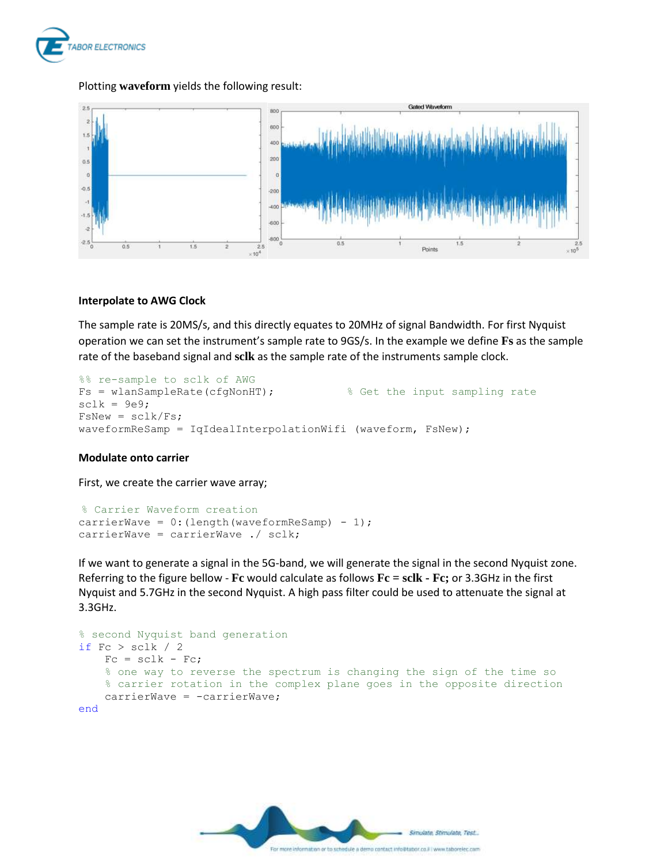

# Plotting **waveform** yields the following result:



## **Interpolate to AWG Clock**

The sample rate is 20MS/s, and this directly equates to 20MHz of signal Bandwidth. For first Nyquist operation we can set the instrument's sample rate to 9GS/s. In the example we define **Fs** as the sample rate of the baseband signal and **sclk** as the sample rate of the instruments sample clock.

```
%% re-sample to sclk of AWG
Fs = wlanSampleRate(cfgNonHT); \frac{1}{3} & Get the input sampling rate
sclk = 9e9;FsNew = sclk/Fs;waveformReSamp = IqIdealInterpolationWifi (waveform, FsNew);
```
## **Modulate onto carrier**

First, we create the carrier wave array;

```
% Carrier Waveform creation
carrierWave = 0: (length (waveformReSamp) - 1);
carrierWave = carrierWave ./ sclk;
```
If we want to generate a signal in the 5G-band, we will generate the signal in the second Nyquist zone. Referring to the figure bellow - **Fc** would calculate as follows **Fc = sclk - Fc;** or 3.3GHz in the first Nyquist and 5.7GHz in the second Nyquist. A high pass filter could be used to attenuate the signal at 3.3GHz.

```
% second Nyquist band generation
if Fc > sclk / 2
    Fc = sclk - FC; % one way to reverse the spectrum is changing the sign of the time so
     % carrier rotation in the complex plane goes in the opposite direction
    carrierWave = -carrierWave;
end
```
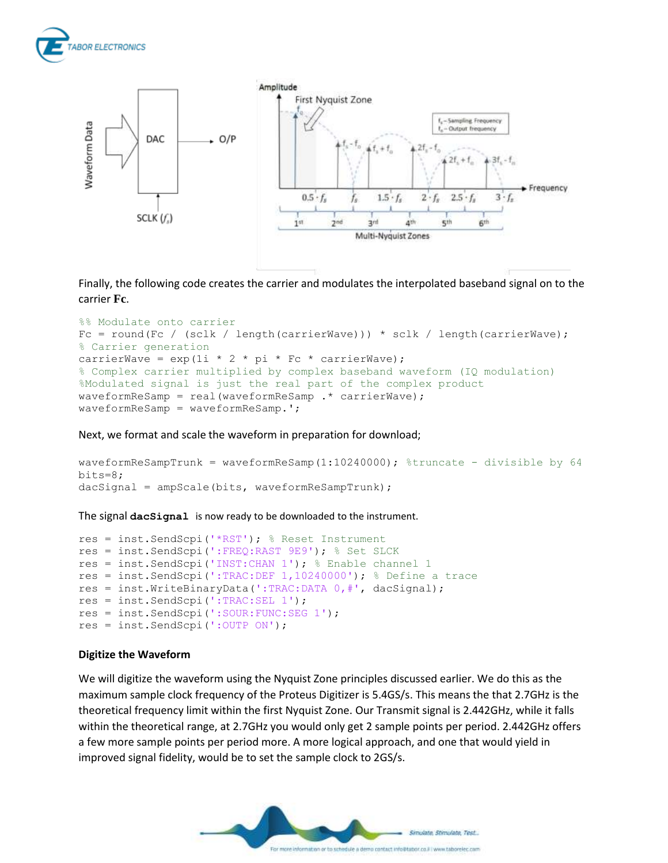



Finally, the following code creates the carrier and modulates the interpolated baseband signal on to the carrier **Fc**.

```
%% Modulate onto carrier
Fc = round(Fc / (sclk / length(carrierWave))) * sclk / length(carrierWave);% Carrier generation
carrierWave = \exp(1i \times 2 \times \pi i \times Fc \times carrierWave);
% Complex carrier multiplied by complex baseband waveform (IQ modulation)
%Modulated signal is just the real part of the complex product
waveformReSamp = real(waveformReSamp .* carrierWave);
waveformReSamp = waveformReSamp.';
```
Next, we format and scale the waveform in preparation for download;

```
waveformReSampTrunk = waveformReSamp(1:10240000); %truncate - divisible by 64
bits=8;
dacSignal = ampScale(bits, waveformReSampTrunk);
```
The signal **dacSignal** is now ready to be downloaded to the instrument.

```
res = inst.SendScpi('*RST'); % Reset Instrument
res = inst.SendScpi(':FREQ:RAST 9E9'); % Set SLCK
res = inst.SendScpi('INST:CHAN 1'); % Enable channel 1
res = inst.SendScpi(':TRAC:DEF 1,10240000'); % Define a trace
res = inst.WriteBinaryData(':TRAC:DATA 0,#', dacSignal);
res = inst.SendScpi(':TRAC:SEL 1');
res = inst.SendScpi(':SOUR:FUNC:SEG 1');
res = inst.SendScpi(':OUTP ON');
```
#### **Digitize the Waveform**

We will digitize the waveform using the Nyquist Zone principles discussed earlier. We do this as the maximum sample clock frequency of the Proteus Digitizer is 5.4GS/s. This means the that 2.7GHz is the theoretical frequency limit within the first Nyquist Zone. Our Transmit signal is 2.442GHz, while it falls within the theoretical range, at 2.7GHz you would only get 2 sample points per period. 2.442GHz offers a few more sample points per period more. A more logical approach, and one that would yield in improved signal fidelity, would be to set the sample clock to 2GS/s.

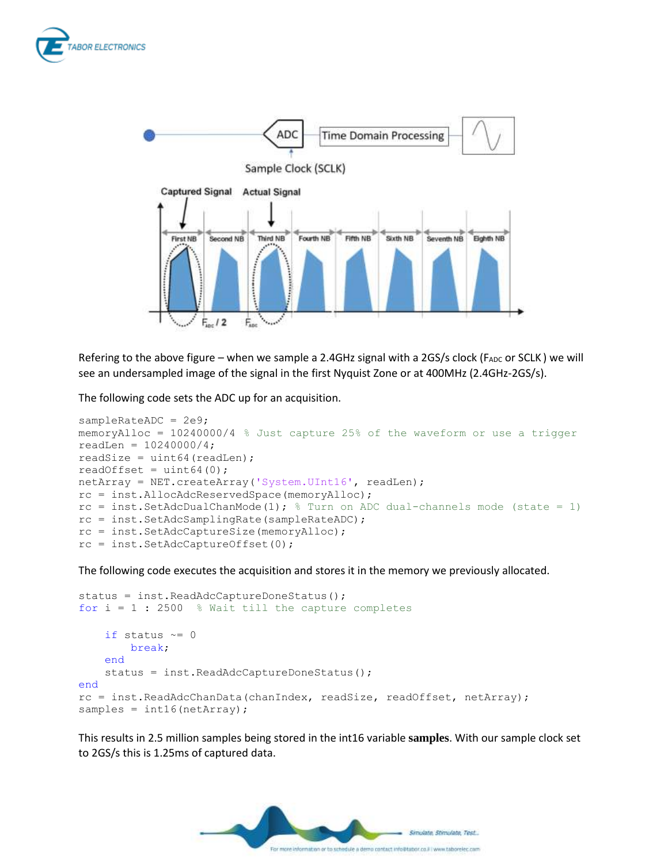



Refering to the above figure – when we sample a 2.4GHz signal with a 2GS/s clock ( $F_{ADC}$  or SCLK) we will see an undersampled image of the signal in the first Nyquist Zone or at 400MHz (2.4GHz-2GS/s).

The following code sets the ADC up for an acquisition.

```
sampleRateADC = 2e9;
memoryAlloc = 10240000/4 % Just capture 25% of the waveform or use a trigger
readLen = 10240000/4;
readSize = uint64 (readLen);
readOffset = uint64(0);
netArray = NET.createArray('System.UInt16', readLen);
rc = inst.AllocAdcReservedSpace(memoryAlloc);
rc = inst.SetAdcDualChanMode(1); % Turn on ADC dual-channels mode (state = 1)
rc = inst.SetAdcSamplingRate(sampleRateADC);
rc = inst.SetAdcCaptureSize(memoryAlloc);
rc = inst.SetAdcCaptureOffset(0);
```
The following code executes the acquisition and stores it in the memory we previously allocated.

```
status = inst.ReadAdcCaptureDoneStatus();
for i = 1 : 2500 % Wait till the capture completes
    if status \sim=0 break;
     end
     status = inst.ReadAdcCaptureDoneStatus();
end
rc = inst.ReadAdcChanData(chanIndex, readSize, readOffset, netArray);
samples = int16(netArray);
```
This results in 2.5 million samples being stored in the int16 variable **samples**. With our sample clock set to 2GS/s this is 1.25ms of captured data.

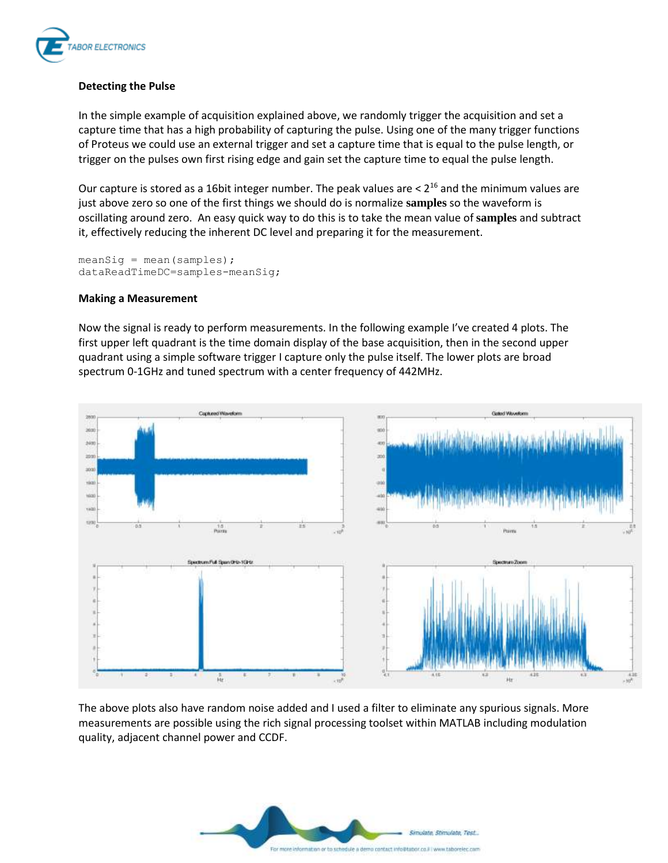

## **Detecting the Pulse**

In the simple example of acquisition explained above, we randomly trigger the acquisition and set a capture time that has a high probability of capturing the pulse. Using one of the many trigger functions of Proteus we could use an external trigger and set a capture time that is equal to the pulse length, or trigger on the pulses own first rising edge and gain set the capture time to equal the pulse length.

Our capture is stored as a 16bit integer number. The peak values are  $< 2^{16}$  and the minimum values are just above zero so one of the first things we should do is normalize **samples** so the waveform is oscillating around zero. An easy quick way to do this is to take the mean value of **samples** and subtract it, effectively reducing the inherent DC level and preparing it for the measurement.

```
meansig = mean(samples);dataReadTimeDC=samples-meanSig;
```
#### **Making a Measurement**

Now the signal is ready to perform measurements. In the following example I've created 4 plots. The first upper left quadrant is the time domain display of the base acquisition, then in the second upper quadrant using a simple software trigger I capture only the pulse itself. The lower plots are broad spectrum 0-1GHz and tuned spectrum with a center frequency of 442MHz.



The above plots also have random noise added and I used a filter to eliminate any spurious signals. More measurements are possible using the rich signal processing toolset within MATLAB including modulation quality, adjacent channel power and CCDF.